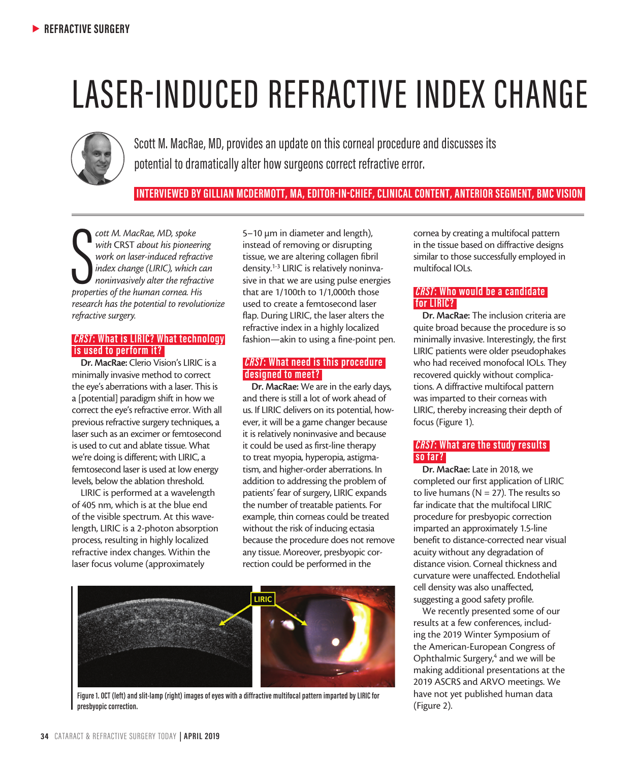# LASER-INDUCED REFRACTIVE INDEX CHANGE



Scott M. MacRae, MD, provides an update on this corneal procedure and discusses its potential to dramatically alter how surgeons correct refractive error.

### **INTERVIEWED BY GILLIAN MCDERMOTT, MA, EDITOR-IN-CHIEF, CLINICAL CONTENT, ANTERIOR SEGMENT, BMC VISION**

**properties of the human cornea.**<br> **properties of the human cornea. His properties of the human cornea. His** <br> **properties of the human cornea.** His *cott M. MacRae, MD, spoke with* CRST *about his pioneering work on laser-induced refractive index change (LIRIC), which can noninvasively alter the refractive research has the potential to revolutionize refractive surgery.*

#### *CRST***: What is LIRIC? What technology is used to perform it?**

Dr. MacRae: Clerio Vision's LIRIC is a minimally invasive method to correct the eye's aberrations with a laser. This is a [potential] paradigm shift in how we correct the eye's refractive error. With all previous refractive surgery techniques, a laser such as an excimer or femtosecond is used to cut and ablate tissue. What we're doing is different; with LIRIC, a femtosecond laser is used at low energy levels, below the ablation threshold.

LIRIC is performed at a wavelength of 405 nm, which is at the blue end of the visible spectrum. At this wavelength, LIRIC is a 2-photon absorption process, resulting in highly localized refractive index changes. Within the laser focus volume (approximately

5–10 µm in diameter and length), instead of removing or disrupting tissue, we are altering collagen fibril density.1-3 LIRIC is relatively noninvasive in that we are using pulse energies that are 1/100th to 1/1,000th those used to create a femtosecond laser flap. During LIRIC, the laser alters the refractive index in a highly localized fashion—akin to using a fine-point pen.

#### *CRST***: What need is this procedure designed to meet ?**

Dr. MacRae: We are in the early days, and there is still a lot of work ahead of us. If LIRIC delivers on its potential, however, it will be a game changer because it is relatively noninvasive and because it could be used as first-line therapy to treat myopia, hyperopia, astigmatism, and higher-order aberrations. In addition to addressing the problem of patients' fear of surgery, LIRIC expands the number of treatable patients. For example, thin corneas could be treated without the risk of inducing ectasia because the procedure does not remove any tissue. Moreover, presbyopic correction could be performed in the



**Figure 1. OCT (left) and slit-lamp (right) images of eyes with a diffractive multifocal pattern imparted by LIRIC for presbyopic correction.**

cornea by creating a multifocal pattern in the tissue based on diffractive designs similar to those successfully employed in multifocal IOLs.

#### *CRST***: Who would be a candidate for LIRIC?**

Dr. MacRae: The inclusion criteria are quite broad because the procedure is so minimally invasive. Interestingly, the first LIRIC patients were older pseudophakes who had received monofocal IOLs. They recovered quickly without complications. A diffractive multifocal pattern was imparted to their corneas with LIRIC, thereby increasing their depth of focus (Figure 1).

#### *CRST***: What are the study results so far ?**

Dr. MacRae: Late in 2018, we completed our first application of LIRIC to live humans ( $N = 27$ ). The results so far indicate that the multifocal LIRIC procedure for presbyopic correction imparted an approximately 1.5-line benefit to distance-corrected near visual acuity without any degradation of distance vision. Corneal thickness and curvature were unaffected. Endothelial cell density was also unaffected, suggesting a good safety profile.

We recently presented some of our results at a few conferences, including the 2019 Winter Symposium of the American-European Congress of Ophthalmic Surgery,<sup>4</sup> and we will be making additional presentations at the 2019 ASCRS and ARVO meetings. We have not yet published human data (Figure 2).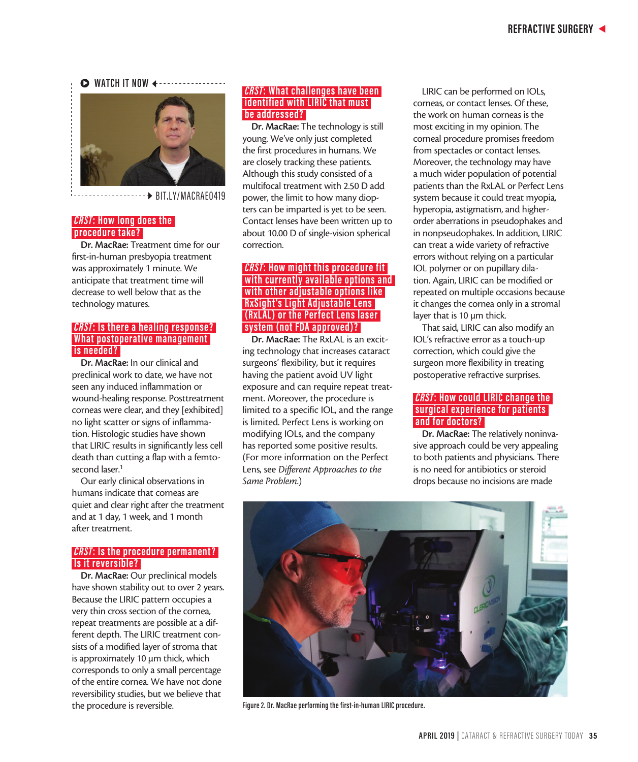#### $\triangleright$  **WATCH IT NOW**



- BIT.LY/MACRAE0419 <u>----------</u>

#### *CRST***: How long does the procedure take?**

Dr. MacRae: Treatment time for our first-in-human presbyopia treatment was approximately 1 minute. We anticipate that treatment time will decrease to well below that as the technology matures.

#### *CRST***: Is there a healing response? What postoperative management is needed?**

Dr. MacRae: In our clinical and preclinical work to date, we have not seen any induced inflammation or wound-healing response. Posttreatment corneas were clear, and they [exhibited] no light scatter or signs of inflammation. Histologic studies have shown that LIRIC results in significantly less cell death than cutting a flap with a femtosecond laser.<sup>1</sup>

Our early clinical observations in humans indicate that corneas are quiet and clear right after the treatment and at 1 day, 1 week, and 1 month after treatment.

#### *CRST***: Is the procedure permanent? Is it reversible?**

Dr. MacRae: Our preclinical models have shown stability out to over 2 years. Because the LIRIC pattern occupies a very thin cross section of the cornea, repeat treatments are possible at a different depth. The LIRIC treatment consists of a modified layer of stroma that is approximately 10 µm thick, which corresponds to only a small percentage of the entire cornea. We have not done reversibility studies, but we believe that the procedure is reversible.

#### *CRST***: What challenges have been identified with LIRIC that must be addressed?**

Dr. MacRae: The technology is still young. We've only just completed the first procedures in humans. We are closely tracking these patients. Although this study consisted of a multifocal treatment with 2.50 D add power, the limit to how many diopters can be imparted is yet to be seen. Contact lenses have been written up to about 10.00 D of single-vision spherical correction.

#### *CRST***: How might this procedure fit with currently available options and with other adjustable options like RxSight 's Light Adjustable Lens (RxL AL) or the Per fec t Lens laser system (not FDA approved)?**

Dr. MacRae: The RxLAL is an exciting technology that increases cataract surgeons' flexibility, but it requires having the patient avoid UV light exposure and can require repeat treatment. Moreover, the procedure is limited to a specific IOL, and the range is limited. Perfect Lens is working on modifying IOLs, and the company has reported some positive results. (For more information on the Perfect Lens, see *Different Approaches to the Same Problem*.)

LIRIC can be performed on IOLs, corneas, or contact lenses. Of these, the work on human corneas is the most exciting in my opinion. The corneal procedure promises freedom from spectacles or contact lenses. Moreover, the technology may have a much wider population of potential patients than the RxLAL or Perfect Lens system because it could treat myopia, hyperopia, astigmatism, and higherorder aberrations in pseudophakes and in nonpseudophakes. In addition, LIRIC can treat a wide variety of refractive errors without relying on a particular IOL polymer or on pupillary dilation. Again, LIRIC can be modified or repeated on multiple occasions because it changes the cornea only in a stromal layer that is 10 µm thick.

That said, LIRIC can also modify an IOL's refractive error as a touch-up correction, which could give the surgeon more flexibility in treating postoperative refractive surprises.

#### *CRST***: How could LIRIC change the surgical experience for patients and for doc tors?**

Dr. MacRae: The relatively noninvasive approach could be very appealing to both patients and physicians. There is no need for antibiotics or steroid drops because no incisions are made



**Figure 2. Dr. MacRae performing the first-in-human LIRIC procedure.**